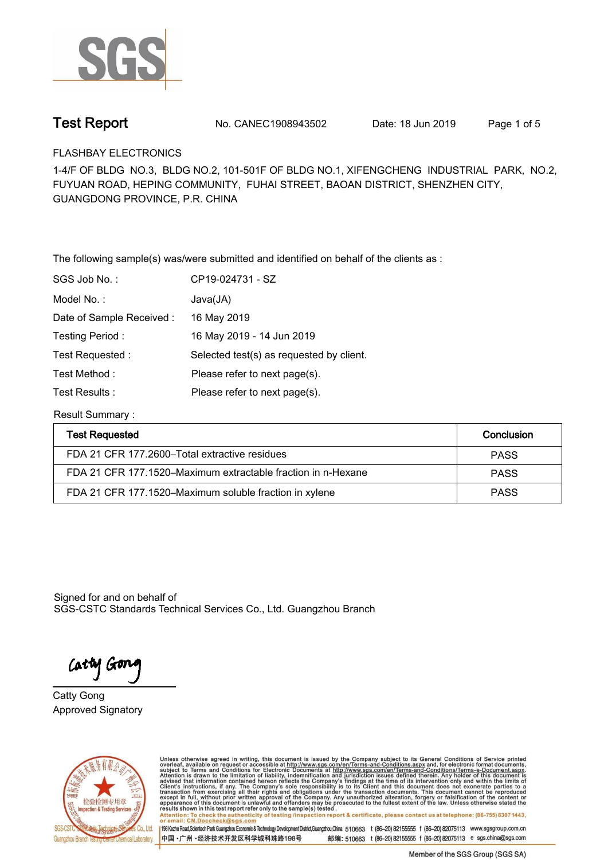

**Test Report. No. CANEC1908943502 Date: 18 Jun 2019. Page 1 of 5.**

**FLASHBAY ELECTRONICS.**

**1-4/F OF BLDG NO.3, BLDG NO.2, 101-501F OF BLDG NO.1, XIFENGCHENG INDUSTRIAL PARK, NO.2, FUYUAN ROAD, HEPING COMMUNITY, FUHAI STREET, BAOAN DISTRICT, SHENZHEN CITY, GUANGDONG PROVINCE, P.R. CHINA**

**The following sample(s) was/were submitted and identified on behalf of the clients as : .**

| SGS Job No.:             | CP19-024731 - SZ                         |
|--------------------------|------------------------------------------|
| Model No.:               | Java(JA)                                 |
| Date of Sample Received: | 16 May 2019                              |
| Testing Period:          | 16 May 2019 - 14 Jun 2019                |
| Test Requested:          | Selected test(s) as requested by client. |
| Test Method:             | Please refer to next page(s).            |
| Test Results :           | Please refer to next page(s).            |

**Result Summary :.**

| <b>Test Requested</b>                                        | Conclusion  |
|--------------------------------------------------------------|-------------|
| FDA 21 CFR 177.2600–Total extractive residues                | <b>PASS</b> |
| FDA 21 CFR 177.1520–Maximum extractable fraction in n-Hexane | <b>PASS</b> |
| FDA 21 CFR 177.1520–Maximum soluble fraction in xylene       | <b>PASS</b> |

Signed for and on behalf of SGS-CSTC Standards Technical Services Co., Ltd. Guangzhou Branch.

Cathy Gon

**Approved Signatory . . . Catty Gong.**



Unless otherwise agreed in writing, this document is issued by the Company subject to its General Conditions of Service printed overleaf, available on request or accessible at http://www.sgs.com/en/Terms-and-Conditions.asp results shown in this test report ferer only to the sample(s) tested .<br>Attention: To check the authenticity of testing /inspection report & certificate, please contact us at telephone: (86-755) 8307 1443,<br>or email: <u>CN.Doc</u>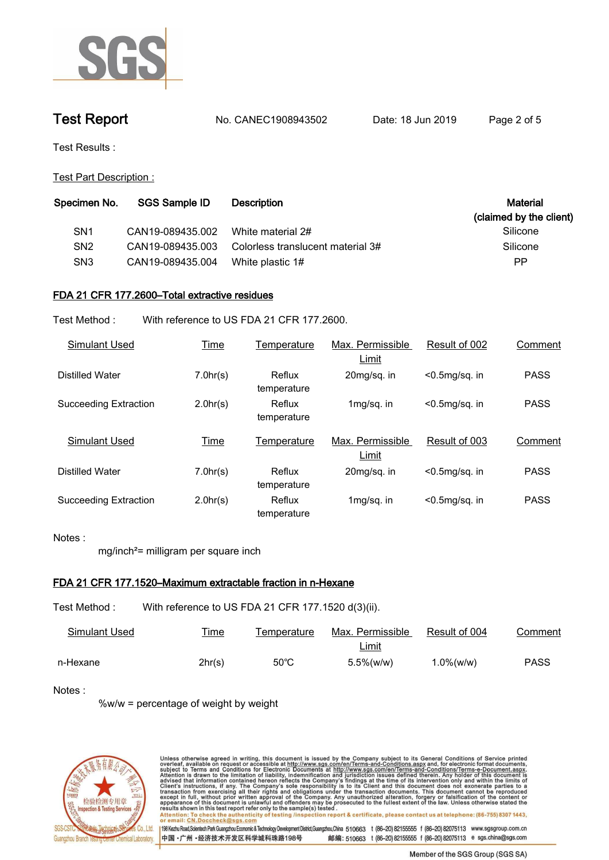

**Test Report. No. CANEC1908943502 Date: 18 Jun 2019. Page 2 of 5.**

**Test Results :.**

**Test Part Description :.**

| Specimen No.    | SGS Sample ID    | <b>Description</b>                | Material<br>(claimed by the client) |
|-----------------|------------------|-----------------------------------|-------------------------------------|
| SN <sub>1</sub> | CAN19-089435.002 | White material 2#                 | Silicone                            |
| SN <sub>2</sub> | CAN19-089435.003 | Colorless translucent material 3# | Silicone                            |
| SN <sub>3</sub> | CAN19-089435.004 | White plastic 1#                  | PP                                  |
|                 |                  |                                   |                                     |

# **FDA 21 CFR 177.2600–Total extractive residues.**

**Test Method :. With reference to US FDA 21 CFR 177.2600..**

| Simulant Used                | <b>Time</b> | Temperature           | Max. Permissible<br>Limit | Result of 002     | Comment     |
|------------------------------|-------------|-----------------------|---------------------------|-------------------|-------------|
| Distilled Water              | 7.0hr(s)    | Reflux<br>temperature | 20mg/sq. in               | $<$ 0.5mg/sq. in  | <b>PASS</b> |
| <b>Succeeding Extraction</b> | 2.0hr(s)    | Reflux<br>temperature | $1mg/sq.$ in              | $< 0.5$ mg/sq. in | <b>PASS</b> |
| <b>Simulant Used</b>         |             |                       |                           |                   |             |
|                              | Time        | Temperature           | Max. Permissible<br>Limit | Result of 003     | Comment     |
| Distilled Water              | 7.0hr(s)    | Reflux<br>temperature | 20mg/sq. in               | $< 0.5$ mg/sq. in | <b>PASS</b> |

# **Notes :.**

**mg/inch²= milligram per square inch.**

## **FDA 21 CFR 177.1520–Maximum extractable fraction in n-Hexane.**

**Test Method :. With reference to US FDA 21 CFR 177.1520 d(3)(ii)..**

| Simulant Used | <b>Time</b> | Temperature    | Max. Permissible | Result of 004 | Comment     |
|---------------|-------------|----------------|------------------|---------------|-------------|
|               |             |                | <u>Limit</u>     |               |             |
| n-Hexane      | 2hr(s)      | $50^{\circ}$ C | $5.5\%$ (w/w)    | $.0\%$ (w/w)  | <b>PASS</b> |

## **Notes :.**

**%w/w = percentage of weight by weight.**



Unless otherwise agreed in writing, this document is issued by the Company subject to its General Conditions of Service printed<br>overleaf, available on request or accessible at http://www.sgs.com/en/Terms-and-Conditions.asp results shown in this test report refer only to the sample(s) tested .<br>Attention: To check the authenticity of testing /inspection report & certificate, please contact us at telephone: (86-755) 8307 1443,<br>or email: <u>CN.Doc</u> 198 Kezhu Road,Scientech Park Guangzhou Economic & Technology Development District,Guangzhou,China 510663 t (86-20) 82155555 f (86-20) 82075113 www.sgsgroup.com.cn

中国·广州·经济技术开发区科学城科珠路198号 邮编: 510663 t (86-20) 82155555 f (86-20) 82075113 e sgs.china@sgs.com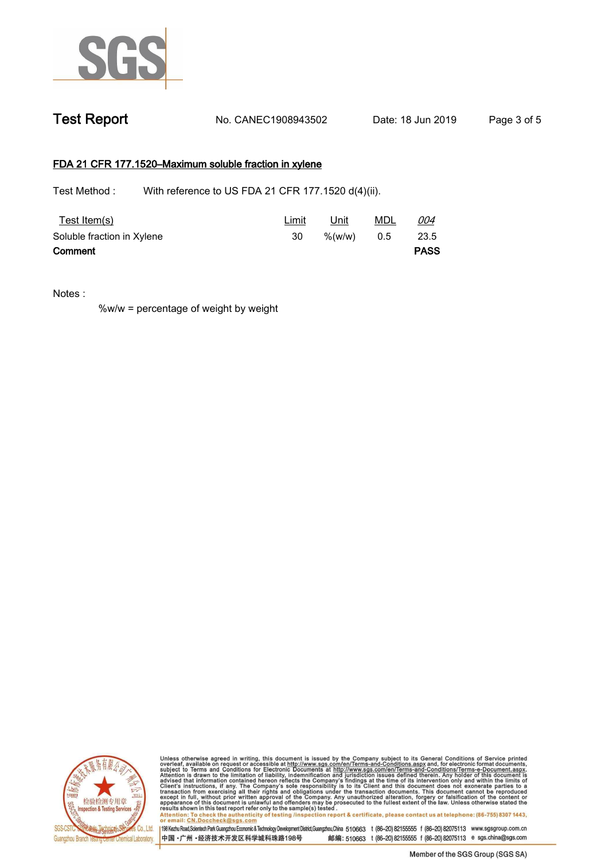

# **FDA 21 CFR 177.1520–Maximum soluble fraction in xylene.**

Test Method : With reference to US FDA 21 CFR 177.1520 d(4)(ii).

| Test Item(s)               | <u>Limit</u> | Unit         | <u>MDL</u> | 004         |
|----------------------------|--------------|--------------|------------|-------------|
| Soluble fraction in Xylene | 30           | %(w/w) $0.5$ |            | 23.5        |
| Comment                    |              |              |            | <b>PASS</b> |

**Notes :.**

**%w/w = percentage of weight by weight.**



Unless otherwise agreed in writing, this document is issued by the Company subject to its General Conditions of Service printed<br>overleaf, available on request or accessible at http://www.sgs.com/en/Terms-and-Conditions.asp results shown in this test report refer only to the sample(s) tested .<br>Attention: To check the authenticity of testing /inspection report & certificate, please contact us at telephone: (86-755) 8307 1443,<br>or email: <u>CN.Doc</u>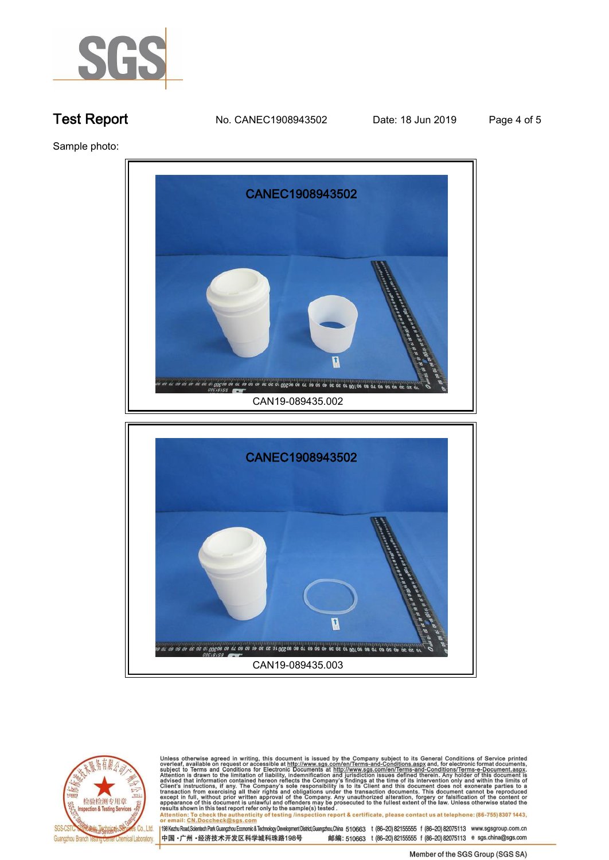

**Test Report. No. CANEC1908943502 Date: 18 Jun 2019. Page 4 of 5.**

**Sample photo:.**





Unless otherwise agreed in writing, this document is issued by the Company subject to its General Conditions of Service printed<br>overleaf, available on request or accessible at http://www.sgs.com/en/Terms-and-Conditions.asp results shown in this test report refer only to the sample(s) tested .<br>Attention: To check the authenticity of testing /inspection report & certificate, please contact us at telephone: (86-755) 8307 1443,<br>or email: <u>CN.Doc</u>